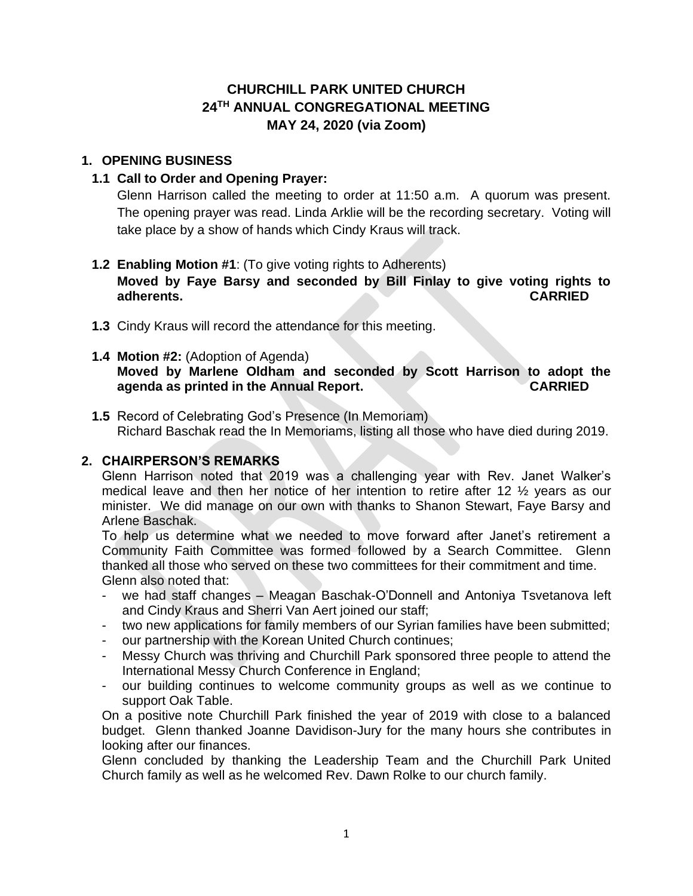# **CHURCHILL PARK UNITED CHURCH 24TH ANNUAL CONGREGATIONAL MEETING MAY 24, 2020 (via Zoom)**

# **1. OPENING BUSINESS**

# **1.1 Call to Order and Opening Prayer:**

Glenn Harrison called the meeting to order at 11:50 a.m. A quorum was present. The opening prayer was read. Linda Arklie will be the recording secretary. Voting will take place by a show of hands which Cindy Kraus will track.

### **1.2 Enabling Motion #1**: (To give voting rights to Adherents)

**Moved by Faye Barsy and seconded by Bill Finlay to give voting rights to adherents. CARRIED**

- **1.3** Cindy Kraus will record the attendance for this meeting.
- **1.4 Motion #2:** (Adoption of Agenda) **Moved by Marlene Oldham and seconded by Scott Harrison to adopt the agenda as printed in the Annual Report. CARRIED**
- **1.5** Record of Celebrating God's Presence (In Memoriam) Richard Baschak read the In Memoriams, listing all those who have died during 2019.

# **2. CHAIRPERSON'S REMARKS**

Glenn Harrison noted that 2019 was a challenging year with Rev. Janet Walker's medical leave and then her notice of her intention to retire after 12 ½ years as our minister. We did manage on our own with thanks to Shanon Stewart, Faye Barsy and Arlene Baschak.

To help us determine what we needed to move forward after Janet's retirement a Community Faith Committee was formed followed by a Search Committee. Glenn thanked all those who served on these two committees for their commitment and time. Glenn also noted that:

- we had staff changes Meagan Baschak-O'Donnell and Antoniya Tsvetanova left and Cindy Kraus and Sherri Van Aert joined our staff;
- two new applications for family members of our Syrian families have been submitted;
- our partnership with the Korean United Church continues;
- Messy Church was thriving and Churchill Park sponsored three people to attend the International Messy Church Conference in England;
- our building continues to welcome community groups as well as we continue to support Oak Table.

On a positive note Churchill Park finished the year of 2019 with close to a balanced budget. Glenn thanked Joanne Davidison-Jury for the many hours she contributes in looking after our finances.

Glenn concluded by thanking the Leadership Team and the Churchill Park United Church family as well as he welcomed Rev. Dawn Rolke to our church family.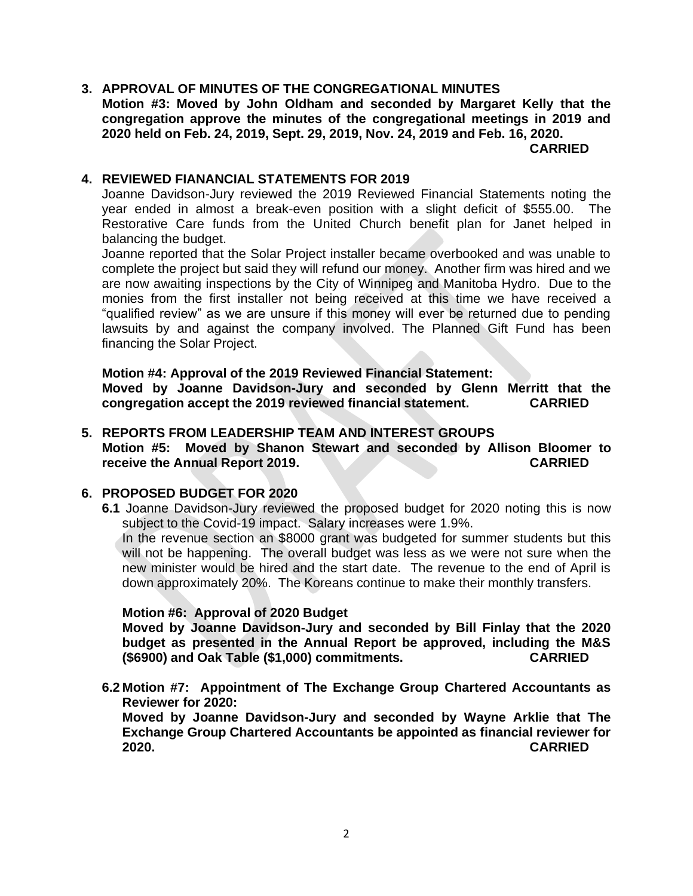### **3. APPROVAL OF MINUTES OF THE CONGREGATIONAL MINUTES Motion #3: Moved by John Oldham and seconded by Margaret Kelly that the congregation approve the minutes of the congregational meetings in 2019 and 2020 held on Feb. 24, 2019, Sept. 29, 2019, Nov. 24, 2019 and Feb. 16, 2020.**

**CARRIED**

### **4. REVIEWED FIANANCIAL STATEMENTS FOR 2019**

Joanne Davidson-Jury reviewed the 2019 Reviewed Financial Statements noting the year ended in almost a break-even position with a slight deficit of \$555.00. The Restorative Care funds from the United Church benefit plan for Janet helped in balancing the budget.

Joanne reported that the Solar Project installer became overbooked and was unable to complete the project but said they will refund our money. Another firm was hired and we are now awaiting inspections by the City of Winnipeg and Manitoba Hydro. Due to the monies from the first installer not being received at this time we have received a "qualified review" as we are unsure if this money will ever be returned due to pending lawsuits by and against the company involved. The Planned Gift Fund has been financing the Solar Project.

**Motion #4: Approval of the 2019 Reviewed Financial Statement: Moved by Joanne Davidson-Jury and seconded by Glenn Merritt that the congregation accept the 2019 reviewed financial statement. CARRIED**

### **5. REPORTS FROM LEADERSHIP TEAM AND INTEREST GROUPS Motion #5: Moved by Shanon Stewart and seconded by Allison Bloomer to receive the Annual Report 2019. CARRIED**

### **6. PROPOSED BUDGET FOR 2020**

**6.1** Joanne Davidson-Jury reviewed the proposed budget for 2020 noting this is now subject to the Covid-19 impact. Salary increases were 1.9%.

In the revenue section an \$8000 grant was budgeted for summer students but this will not be happening. The overall budget was less as we were not sure when the new minister would be hired and the start date. The revenue to the end of April is down approximately 20%. The Koreans continue to make their monthly transfers.

#### **Motion #6: Approval of 2020 Budget**

**Moved by Joanne Davidson-Jury and seconded by Bill Finlay that the 2020 budget as presented in the Annual Report be approved, including the M&S (\$6900) and Oak Table (\$1,000) commitments. CARRIED**

**6.2 Motion #7: Appointment of The Exchange Group Chartered Accountants as Reviewer for 2020:**

**Moved by Joanne Davidson-Jury and seconded by Wayne Arklie that The Exchange Group Chartered Accountants be appointed as financial reviewer for 2020. CARRIED**